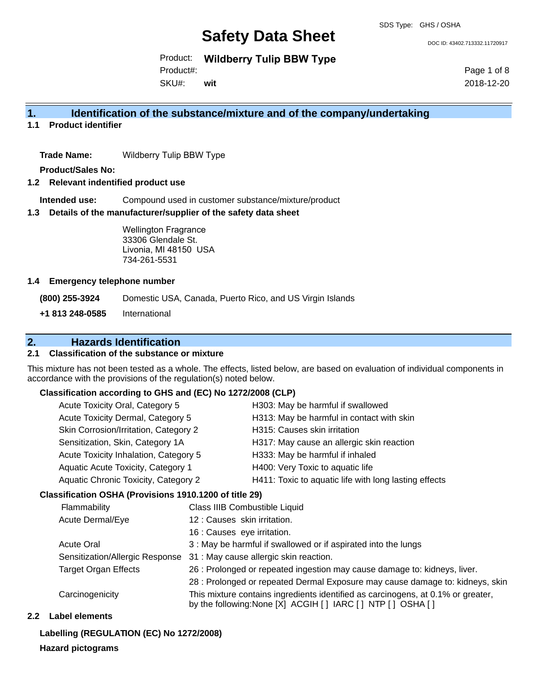DOC ID: 43402.713332.11720917

Product: **Wildberry Tulip BBW Type**

Product#:

SKU#: **wit** Page 1 of 8 2018-12-20

## **1. Identification of the substance/mixture and of the company/undertaking**

**1.1 Product identifier**

**Trade Name:** Wildberry Tulip BBW Type

**Product/Sales No:**

#### **1.2 Relevant indentified product use**

**Intended use:** Compound used in customer substance/mixture/product

#### **1.3 Details of the manufacturer/supplier of the safety data sheet**

Wellington Fragrance 33306 Glendale St. Livonia, MI 48150 USA 734-261-5531

#### **1.4 Emergency telephone number**

**(800) 255-3924** Domestic USA, Canada, Puerto Rico, and US Virgin Islands

**+1 813 248-0585** International

## **2. Hazards Identification**

### **2.1 Classification of the substance or mixture**

This mixture has not been tested as a whole. The effects, listed below, are based on evaluation of individual components in accordance with the provisions of the regulation(s) noted below.

## **Classification according to GHS and (EC) No 1272/2008 (CLP)**

| Acute Toxicity Oral, Category 5       | H303: May be harmful if swallowed                     |
|---------------------------------------|-------------------------------------------------------|
| Acute Toxicity Dermal, Category 5     | H313: May be harmful in contact with skin             |
| Skin Corrosion/Irritation, Category 2 | H315: Causes skin irritation                          |
| Sensitization, Skin, Category 1A      | H317: May cause an allergic skin reaction             |
| Acute Toxicity Inhalation, Category 5 | H333: May be harmful if inhaled                       |
| Aquatic Acute Toxicity, Category 1    | H400: Very Toxic to aquatic life                      |
| Aquatic Chronic Toxicity, Category 2  | H411: Toxic to aquatic life with long lasting effects |
|                                       |                                                       |

### **Classification OSHA (Provisions 1910.1200 of title 29)**

| Flammability                | Class IIIB Combustible Liquid                                                                                                                  |
|-----------------------------|------------------------------------------------------------------------------------------------------------------------------------------------|
| Acute Dermal/Eye            | 12 : Causes skin irritation.                                                                                                                   |
|                             | 16 : Causes eye irritation.                                                                                                                    |
| <b>Acute Oral</b>           | 3 : May be harmful if swallowed or if aspirated into the lungs                                                                                 |
|                             | Sensitization/Allergic Response 31: May cause allergic skin reaction.                                                                          |
| <b>Target Organ Effects</b> | 26 : Prolonged or repeated ingestion may cause damage to: kidneys, liver.                                                                      |
|                             | 28 : Prolonged or repeated Dermal Exposure may cause damage to: kidneys, skin                                                                  |
| Carcinogenicity             | This mixture contains ingredients identified as carcinogens, at 0.1% or greater,<br>by the following: None [X] ACGIH [] IARC [] NTP [] OSHA [] |

### **2.2 Label elements**

## **Labelling (REGULATION (EC) No 1272/2008)**

### **Hazard pictograms**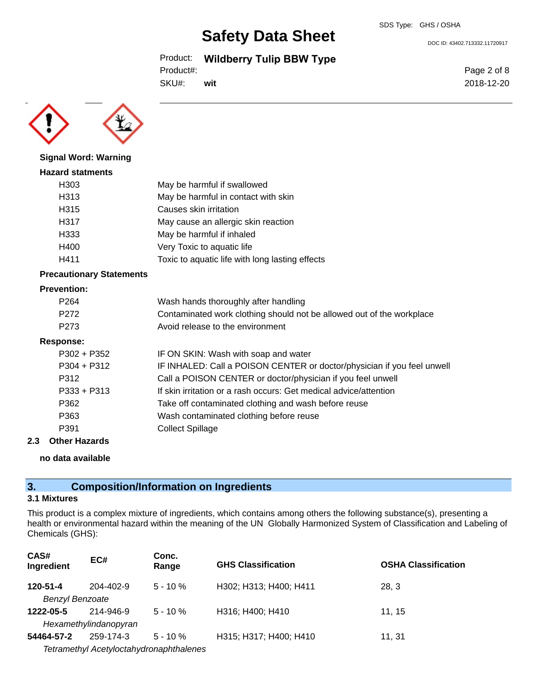Product: **Wildberry Tulip BBW Type**

```
Product#:
```
SKU#: **wit** Page 2 of 8

DOC ID: 43402.713332.11720917

2018-12-20



**Signal Word: Warning**

## **Hazard statments** H303 May be harmful if swallowed H313 May be harmful in contact with skin H315 Causes skin irritation H317 May cause an allergic skin reaction H333 May be harmful if inhaled H400 Very Toxic to aquatic life H411 Toxic to aquatic life with long lasting effects

## **Precautionary Statements**

### **Prevention:**

| P <sub>264</sub> | Wash hands thoroughly after handling                                  |
|------------------|-----------------------------------------------------------------------|
| P <sub>272</sub> | Contaminated work clothing should not be allowed out of the workplace |
| P273             | Avoid release to the environment                                      |

#### **Response:**

| $P302 + P352$ | IF ON SKIN: Wash with soap and water                                    |
|---------------|-------------------------------------------------------------------------|
| $P304 + P312$ | IF INHALED: Call a POISON CENTER or doctor/physician if you feel unwell |
| P312          | Call a POISON CENTER or doctor/physician if you feel unwell             |
| $P333 + P313$ | If skin irritation or a rash occurs: Get medical advice/attention       |
| P362          | Take off contaminated clothing and wash before reuse                    |
| P363          | Wash contaminated clothing before reuse                                 |
| P391          | <b>Collect Spillage</b>                                                 |
|               |                                                                         |

## **2.3 Other Hazards**

**no data available**

## **3. Composition/Information on Ingredients**

#### **3.1 Mixtures**

This product is a complex mixture of ingredients, which contains among others the following substance(s), presenting a health or environmental hazard within the meaning of the UN Globally Harmonized System of Classification and Labeling of Chemicals (GHS):

| CAS#<br>Ingredient     | EC#                                     | Conc.<br>Range | <b>GHS Classification</b> | <b>OSHA Classification</b> |
|------------------------|-----------------------------------------|----------------|---------------------------|----------------------------|
| 120-51-4               | $204 - 402 - 9$                         | $5 - 10 \%$    | H302; H313; H400; H411    | 28, 3                      |
| <b>Benzyl Benzoate</b> |                                         |                |                           |                            |
| 1222-05-5              | 214-946-9                               | $5 - 10 \%$    | H316; H400; H410          | 11.15                      |
|                        | Hexamethylindanopyran                   |                |                           |                            |
| 54464-57-2             | 259-174-3                               | $5 - 10 \%$    | H315; H317; H400; H410    | 11, 31                     |
|                        | Tetramethyl Acetyloctahydronaphthalenes |                |                           |                            |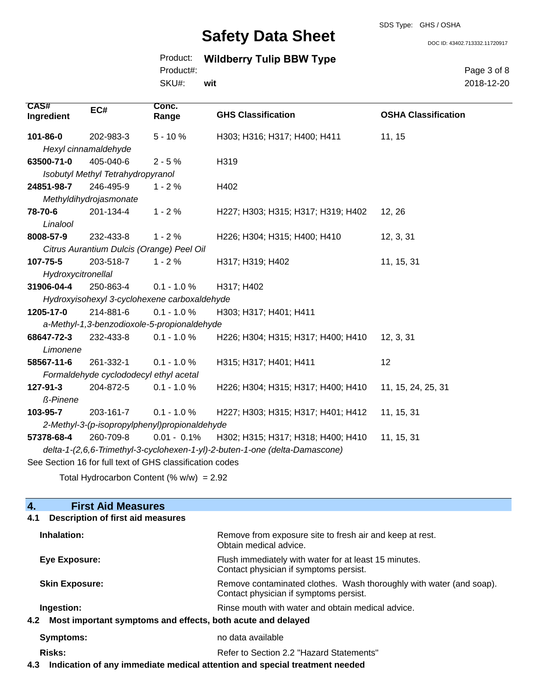SDS Type: GHS / OSHA

Product: **Wildberry Tulip BBW Type**

SKU#: Product#: **wit** Page 3 of 8 2018-12-20

DOC ID: 43402.713332.11720917

| CAS#<br>Ingredient                                       | EC#                                       | Conc.<br>Range                               | <b>GHS Classification</b>                                                   | <b>OSHA Classification</b> |
|----------------------------------------------------------|-------------------------------------------|----------------------------------------------|-----------------------------------------------------------------------------|----------------------------|
| 101-86-0                                                 | 202-983-3                                 | $5 - 10%$                                    | H303; H316; H317; H400; H411                                                | 11, 15                     |
|                                                          | Hexyl cinnamaldehyde                      |                                              |                                                                             |                            |
| 63500-71-0                                               | 405-040-6                                 | $2 - 5%$                                     | H319                                                                        |                            |
|                                                          | Isobutyl Methyl Tetrahydropyranol         |                                              |                                                                             |                            |
| 24851-98-7                                               | 246-495-9                                 | $1 - 2%$                                     | H402                                                                        |                            |
|                                                          | Methyldihydrojasmonate                    |                                              |                                                                             |                            |
| 78-70-6                                                  | 201-134-4                                 | $1 - 2%$                                     | H227; H303; H315; H317; H319; H402                                          | 12, 26                     |
| Linalool                                                 |                                           |                                              |                                                                             |                            |
| 8008-57-9                                                | 232-433-8                                 | $1 - 2%$                                     | H226; H304; H315; H400; H410                                                | 12, 3, 31                  |
|                                                          | Citrus Aurantium Dulcis (Orange) Peel Oil |                                              |                                                                             |                            |
| 107-75-5                                                 | 203-518-7                                 | $1 - 2%$                                     | H317; H319; H402                                                            | 11, 15, 31                 |
| Hydroxycitronellal                                       |                                           |                                              |                                                                             |                            |
| 31906-04-4                                               | 250-863-4                                 | $0.1 - 1.0 %$                                | H317; H402                                                                  |                            |
|                                                          |                                           | Hydroxyisohexyl 3-cyclohexene carboxaldehyde |                                                                             |                            |
| 1205-17-0                                                | 214-881-6                                 | $0.1 - 1.0 %$                                | H303; H317; H401; H411                                                      |                            |
|                                                          |                                           | a-Methyl-1,3-benzodioxole-5-propionaldehyde  |                                                                             |                            |
| 68647-72-3                                               | 232-433-8                                 | $0.1 - 1.0 %$                                | H226; H304; H315; H317; H400; H410                                          | 12, 3, 31                  |
| Limonene                                                 |                                           |                                              |                                                                             |                            |
| 58567-11-6                                               | 261-332-1                                 | $0.1 - 1.0 %$                                | H315; H317; H401; H411                                                      | 12                         |
|                                                          | Formaldehyde cyclododecyl ethyl acetal    |                                              |                                                                             |                            |
| 127-91-3                                                 | 204-872-5                                 | $0.1 - 1.0 \%$                               | H226; H304; H315; H317; H400; H410                                          | 11, 15, 24, 25, 31         |
| ß-Pinene                                                 |                                           |                                              |                                                                             |                            |
| 103-95-7                                                 | 203-161-7                                 | $0.1 - 1.0 %$                                | H227; H303; H315; H317; H401; H412                                          | 11, 15, 31                 |
| 2-Methyl-3-(p-isopropylphenyl)propionaldehyde            |                                           |                                              |                                                                             |                            |
| 57378-68-4                                               | 260-709-8                                 | $0.01 - 0.1\%$                               | H302; H315; H317; H318; H400; H410                                          | 11, 15, 31                 |
|                                                          |                                           |                                              | delta-1-(2,6,6-Trimethyl-3-cyclohexen-1-yl)-2-buten-1-one (delta-Damascone) |                            |
| See Section 16 for full text of GHS classification codes |                                           |                                              |                                                                             |                            |
|                                                          |                                           |                                              |                                                                             |                            |

Total Hydrocarbon Content  $(\% w/w) = 2.92$ 

## **4. First Aid Measures 4.1 Description of first aid measures Inhalation:** Remove from exposure site to fresh air and keep at rest. Obtain medical advice. **Eye Exposure:** Flush immediately with water for at least 15 minutes. Contact physician if symptoms persist.

Contact physician if symptoms persist.

**Skin Exposure:** Remove contaminated clothes. Wash thoroughly with water (and soap).

**Ingestion: Rinse mouth with water and obtain medical advice. Rinse mouth with water and obtain medical advice.** 

**4.2 Most important symptoms and effects, both acute and delayed**

**Symptoms:** no data available

**Risks:** Risks: Refer to Section 2.2 "Hazard Statements"

**4.3 Indication of any immediate medical attention and special treatment needed**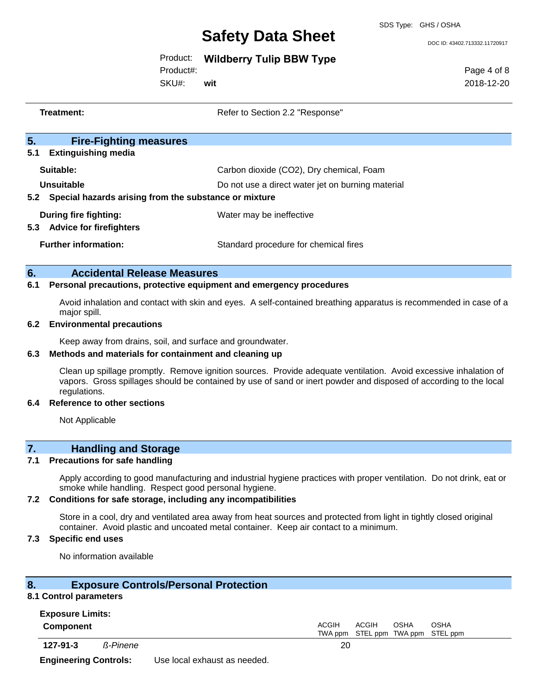#### SDS Type: GHS / OSHA

# **Safety Data Sheet**

DOC ID: 43402.713332.11720917

## Product: **Wildberry Tulip BBW Type**

Product#:

SKU#: **wit** Page 4 of 8 2018-12-20

|                       | Treatment:                                                                       | Refer to Section 2.2 "Response"                                                               |
|-----------------------|----------------------------------------------------------------------------------|-----------------------------------------------------------------------------------------------|
| 5 <sub>1</sub><br>5.1 | <b>Fire-Fighting measures</b><br><b>Extinguishing media</b>                      |                                                                                               |
| 5.2                   | Suitable:<br>Unsuitable<br>Special hazards arising from the substance or mixture | Carbon dioxide (CO2), Dry chemical, Foam<br>Do not use a direct water jet on burning material |
| 5.3                   | During fire fighting:<br><b>Advice for firefighters</b>                          | Water may be ineffective                                                                      |
|                       | <b>Further information:</b>                                                      | Standard procedure for chemical fires                                                         |
|                       |                                                                                  |                                                                                               |

## **6. Accidental Release Measures**

## **6.1 Personal precautions, protective equipment and emergency procedures**

Avoid inhalation and contact with skin and eyes. A self-contained breathing apparatus is recommended in case of a major spill.

#### **6.2 Environmental precautions**

Keep away from drains, soil, and surface and groundwater.

#### **6.3 Methods and materials for containment and cleaning up**

Clean up spillage promptly. Remove ignition sources. Provide adequate ventilation. Avoid excessive inhalation of vapors. Gross spillages should be contained by use of sand or inert powder and disposed of according to the local regulations.

#### **6.4 Reference to other sections**

Not Applicable

## **7. Handling and Storage**

### **7.1 Precautions for safe handling**

Apply according to good manufacturing and industrial hygiene practices with proper ventilation. Do not drink, eat or smoke while handling. Respect good personal hygiene.

#### **7.2 Conditions for safe storage, including any incompatibilities**

Store in a cool, dry and ventilated area away from heat sources and protected from light in tightly closed original container. Avoid plastic and uncoated metal container. Keep air contact to a minimum.

#### **7.3 Specific end uses**

No information available

#### **8. Exposure Controls/Personal Protection**

#### **8.1 Control parameters Exposure Limits:**

| <b>EXDOSURE LIMItS:</b> |                 |                                                                                   |  |
|-------------------------|-----------------|-----------------------------------------------------------------------------------|--|
| <b>Component</b>        |                 | <b>OSHA</b><br><b>ACGIH</b><br>ACGIH<br>OSHA<br>TWA ppm STEL ppm TWA ppm STEL ppm |  |
| $127 - 91 - 3$          | <b>ß-Pinene</b> | 20                                                                                |  |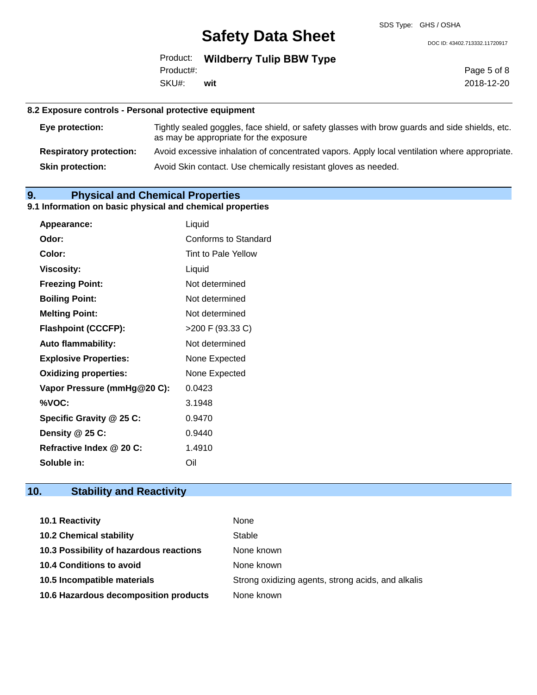DOC ID: 43402.713332.11720917

|           | <b>Product:</b> Wildberry Tulip BBW Type |
|-----------|------------------------------------------|
| Product#: |                                          |
| SKU#:     | wit                                      |

Page 5 of 8 2018-12-20

#### **8.2 Exposure controls - Personal protective equipment**

| Eye protection:                | Tightly sealed goggles, face shield, or safety glasses with brow guards and side shields, etc.<br>as may be appropriate for the exposure |
|--------------------------------|------------------------------------------------------------------------------------------------------------------------------------------|
| <b>Respiratory protection:</b> | Avoid excessive inhalation of concentrated vapors. Apply local ventilation where appropriate.                                            |
| <b>Skin protection:</b>        | Avoid Skin contact. Use chemically resistant gloves as needed.                                                                           |

## **9. Physical and Chemical Properties**

### **9.1 Information on basic physical and chemical properties**

| Appearance:                  | Liquid               |
|------------------------------|----------------------|
| Odor:                        | Conforms to Standard |
| Color:                       | Tint to Pale Yellow  |
| <b>Viscosity:</b>            | Liquid               |
| <b>Freezing Point:</b>       | Not determined       |
| <b>Boiling Point:</b>        | Not determined       |
| <b>Melting Point:</b>        | Not determined       |
| <b>Flashpoint (CCCFP):</b>   | >200 F (93.33 C)     |
| <b>Auto flammability:</b>    | Not determined       |
| <b>Explosive Properties:</b> | None Expected        |
| <b>Oxidizing properties:</b> | None Expected        |
| Vapor Pressure (mmHg@20 C):  | 0.0423               |
| %VOC:                        | 3.1948               |
| Specific Gravity @ 25 C:     | 0.9470               |
| Density @ 25 C:              | 0.9440               |
| Refractive Index @ 20 C:     | 1.4910               |
| Soluble in:                  | Oil                  |

## **10. Stability and Reactivity**

| <b>10.1 Reactivity</b>                  | None                                               |
|-----------------------------------------|----------------------------------------------------|
| <b>10.2 Chemical stability</b>          | Stable                                             |
| 10.3 Possibility of hazardous reactions | None known                                         |
| <b>10.4 Conditions to avoid</b>         | None known                                         |
| 10.5 Incompatible materials             | Strong oxidizing agents, strong acids, and alkalis |
| 10.6 Hazardous decomposition products   | None known                                         |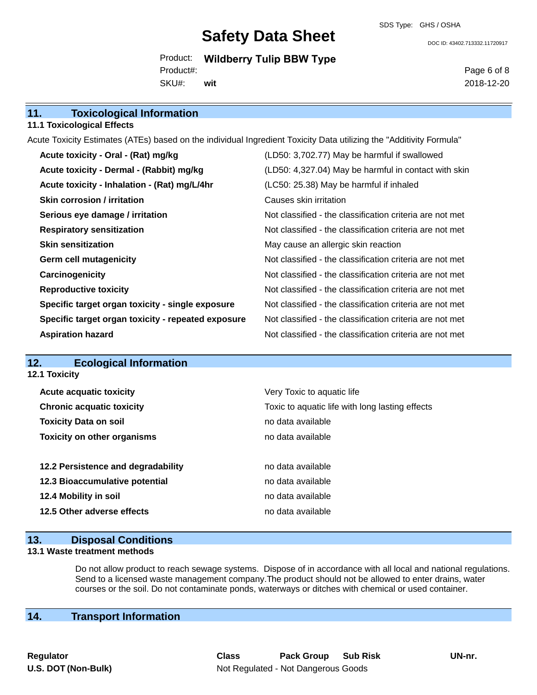DOC ID: 43402.713332.11720917

Product: **Wildberry Tulip BBW Type** SKU#: Product#: **wit**

Page 6 of 8 2018-12-20

## **11. Toxicological Information 11.1 Toxicological Effects** Acute Toxicity Estimates (ATEs) based on the individual Ingredient Toxicity Data utilizing the "Additivity Formula" **Acute toxicity - Oral - (Rat) mg/kg** (LD50: 3,702.77) May be harmful if swallowed **Acute toxicity - Dermal - (Rabbit) mg/kg (LD50: 4,327.04) May be harmful in contact with skin Acute toxicity - Inhalation - (Rat) mg/L/4hr** (LC50: 25.38) May be harmful if inhaled **Skin corrosion / irritation** Causes skin irritation **Serious eye damage / irritation** Not classified - the classification criteria are not met **Respiratory sensitization** Not classified - the classification criteria are not met **Skin sensitization** May cause an allergic skin reaction **Germ cell mutagenicity Not classified - the classification criteria are not met Carcinogenicity Carcinogenicity Not classified - the classification criteria are not met Reproductive toxicity** Not classified - the classification criteria are not met **Specific target organ toxicity - single exposure** Not classified - the classification criteria are not met **Specific target organ toxicity - repeated exposure** Not classified - the classification criteria are not met **Aspiration hazard Not classified - the classification criteria are not met** Not classified - the classification criteria are not met

## **12. Ecological Information**

**12.1 Toxicity**

| <b>Acute acquatic toxicity</b><br><b>Chronic acquatic toxicity</b> | Very Toxic to aquatic life<br>Toxic to aquatic life with long lasting effects |
|--------------------------------------------------------------------|-------------------------------------------------------------------------------|
| <b>Toxicity Data on soil</b>                                       | no data available                                                             |
| <b>Toxicity on other organisms</b>                                 | no data available                                                             |
|                                                                    |                                                                               |
| 12.2 Persistence and degradability                                 | no data available                                                             |
| 12.3 Bioaccumulative potential                                     | no data available                                                             |
| 12.4 Mobility in soil                                              | no data available                                                             |
| 12.5 Other adverse effects                                         | no data available                                                             |
|                                                                    |                                                                               |

### **13. Disposal Conditions**

#### **13.1 Waste treatment methods**

Do not allow product to reach sewage systems. Dispose of in accordance with all local and national regulations. Send to a licensed waste management company.The product should not be allowed to enter drains, water courses or the soil. Do not contaminate ponds, waterways or ditches with chemical or used container.

## **14. Transport Information**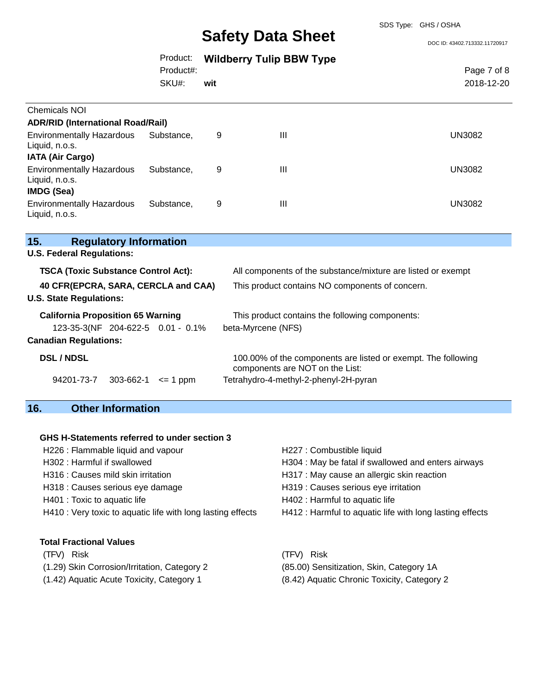DOC ID: 43402.713332.11720917

|                                                                                                                          |                               | Product:<br>Product#:<br>SKU#: | wit | <b>Wildberry Tulip BBW Type</b>                                       |                                                               | Page 7 of 8<br>2018-12-20 |  |
|--------------------------------------------------------------------------------------------------------------------------|-------------------------------|--------------------------------|-----|-----------------------------------------------------------------------|---------------------------------------------------------------|---------------------------|--|
| <b>Chemicals NOI</b>                                                                                                     |                               |                                |     |                                                                       |                                                               |                           |  |
| <b>ADR/RID (International Road/Rail)</b>                                                                                 |                               |                                |     |                                                                       |                                                               |                           |  |
| <b>Environmentally Hazardous</b><br>Liquid, n.o.s.<br><b>IATA (Air Cargo)</b>                                            |                               | Substance,                     | 9   | III                                                                   |                                                               | <b>UN3082</b>             |  |
| <b>Environmentally Hazardous</b><br>Liquid, n.o.s.<br>IMDG (Sea)                                                         |                               | Substance,                     | 9   | III                                                                   |                                                               | <b>UN3082</b>             |  |
| <b>Environmentally Hazardous</b><br>Liquid, n.o.s.                                                                       |                               | Substance,                     | 9   | Ш                                                                     |                                                               | <b>UN3082</b>             |  |
| 15.                                                                                                                      | <b>Regulatory Information</b> |                                |     |                                                                       |                                                               |                           |  |
| <b>U.S. Federal Regulations:</b>                                                                                         |                               |                                |     |                                                                       |                                                               |                           |  |
| <b>TSCA (Toxic Substance Control Act):</b>                                                                               |                               |                                |     |                                                                       | All components of the substance/mixture are listed or exempt  |                           |  |
| 40 CFR(EPCRA, SARA, CERCLA and CAA)<br>This product contains NO components of concern.<br><b>U.S. State Regulations:</b> |                               |                                |     |                                                                       |                                                               |                           |  |
| <b>California Proposition 65 Warning</b><br>123-35-3(NF 204-622-5 0.01 - 0.1%                                            |                               |                                |     | This product contains the following components:<br>beta-Myrcene (NFS) |                                                               |                           |  |
| <b>Canadian Regulations:</b>                                                                                             |                               |                                |     |                                                                       |                                                               |                           |  |
| <b>DSL / NDSL</b>                                                                                                        |                               |                                |     | components are NOT on the List:                                       | 100.00% of the components are listed or exempt. The following |                           |  |
| 94201-73-7                                                                                                               | 303-662-1                     | $\leq$ 1 ppm                   |     | Tetrahydro-4-methyl-2-phenyl-2H-pyran                                 |                                                               |                           |  |

## **16. Other Information**

#### **GHS H-Statements referred to under section 3**

- H226 : Flammable liquid and vapour **H227** : Combustible liquid
- 
- 
- H318 : Causes serious eye damage H319 : Causes serious eye irritation
- 
- H410 : Very toxic to aquatic life with long lasting effects H412 : Harmful to aquatic life with long lasting effects

#### **Total Fractional Values**

(TFV) Risk (TFV) Risk

- (1.29) Skin Corrosion/Irritation, Category 2 (85.00) Sensitization, Skin, Category 1A
- (1.42) Aquatic Acute Toxicity, Category 1 (8.42) Aquatic Chronic Toxicity, Category 2
- 
- H302 : Harmful if swallowed **H304** : May be fatal if swallowed and enters airways
- H316 : Causes mild skin irritation **H**317 : May cause an allergic skin reaction
	-
- H401 : Toxic to aquatic life H402 : Harmful to aquatic life
	-